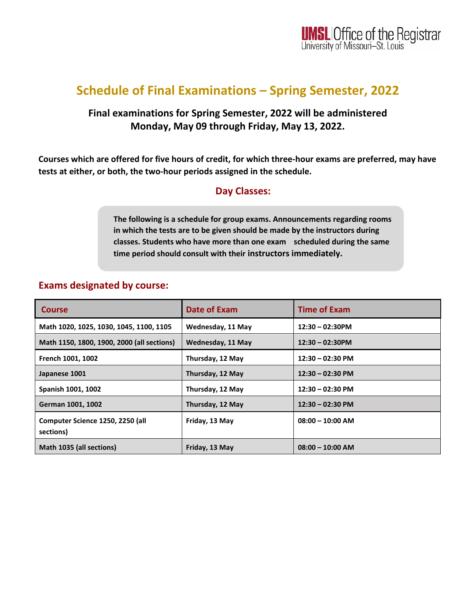# **Schedule of Final Examinations – Spring Semester, 2022**

### **Final examinations for Spring Semester, 2022 will be administered Monday, May 09 through Friday, May 13, 2022.**

**Courses which are offered for five hours of credit, for which three-hour exams are preferred, may have tests at either, or both, the two-hour periods assigned in the schedule.** 

#### **Day Classes:**

**The following is a schedule for group exams. Announcements regarding rooms in which the tests are to be given should be made by the instructors during classes. Students who have more than one exam scheduled during the same time period should consult with their instructors immediately.** 

#### **Exams designated by course:**

| <b>Course</b>                                 | <b>Date of Exam</b>      | <b>Time of Exam</b>        |
|-----------------------------------------------|--------------------------|----------------------------|
| Math 1020, 1025, 1030, 1045, 1100, 1105       | Wednesday, 11 May        | $12:30 - 02:30$ PM         |
| Math 1150, 1800, 1900, 2000 (all sections)    | <b>Wednesday, 11 May</b> | $12:30 - 02:30$ PM         |
| French 1001, 1002                             | Thursday, 12 May         | $12:30 - 02:30$ PM         |
| Japanese 1001                                 | Thursday, 12 May         | $12:30 - 02:30 \text{ PM}$ |
| Spanish 1001, 1002                            | Thursday, 12 May         | $12:30 - 02:30$ PM         |
| German 1001, 1002                             | Thursday, 12 May         | $12:30 - 02:30 \text{ PM}$ |
| Computer Science 1250, 2250 (all<br>sections) | Friday, 13 May           | $08:00 - 10:00$ AM         |
| Math 1035 (all sections)                      | Friday, 13 May           | $08:00 - 10:00$ AM         |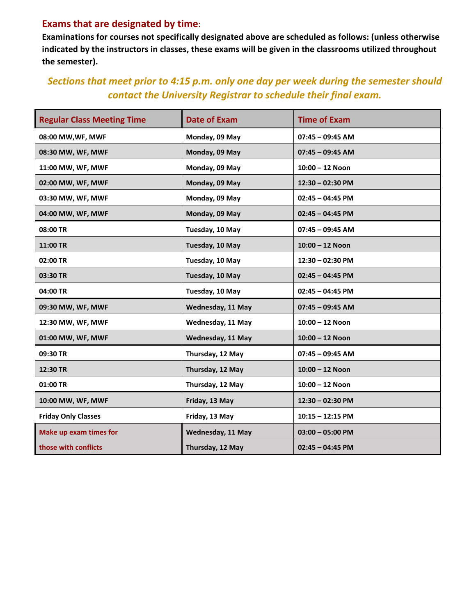#### **Exams that are designated by time**:

**Examinations for courses not specifically designated above are scheduled as follows: (unless otherwise indicated by the instructors in classes, these exams will be given in the classrooms utilized throughout the semester).**

### *Sections that meet prior to 4:15 p.m. only one day per week during the semester should contact the University Registrar to schedule their final exam.*

| <b>Regular Class Meeting Time</b> | <b>Date of Exam</b> | <b>Time of Exam</b> |
|-----------------------------------|---------------------|---------------------|
| 08:00 MW, WF, MWF                 | Monday, 09 May      | $07:45 - 09:45$ AM  |
| 08:30 MW, WF, MWF                 | Monday, 09 May      | $07:45 - 09:45$ AM  |
| 11:00 MW, WF, MWF                 | Monday, 09 May      | $10:00 - 12$ Noon   |
| 02:00 MW, WF, MWF                 | Monday, 09 May      | 12:30 - 02:30 PM    |
| 03:30 MW, WF, MWF                 | Monday, 09 May      | $02:45 - 04:45$ PM  |
| 04:00 MW, WF, MWF                 | Monday, 09 May      | $02:45 - 04:45$ PM  |
| 08:00 TR                          | Tuesday, 10 May     | $07:45 - 09:45$ AM  |
| 11:00 TR                          | Tuesday, 10 May     | $10:00 - 12$ Noon   |
| 02:00 TR                          | Tuesday, 10 May     | 12:30 - 02:30 PM    |
| 03:30 TR                          | Tuesday, 10 May     | $02:45 - 04:45$ PM  |
| 04:00 TR                          | Tuesday, 10 May     | $02:45 - 04:45$ PM  |
| 09:30 MW, WF, MWF                 | Wednesday, 11 May   | $07:45 - 09:45$ AM  |
| 12:30 MW, WF, MWF                 | Wednesday, 11 May   | $10:00 - 12$ Noon   |
| 01:00 MW, WF, MWF                 | Wednesday, 11 May   | $10:00 - 12$ Noon   |
| 09:30 TR                          | Thursday, 12 May    | $07:45 - 09:45$ AM  |
| 12:30 TR                          | Thursday, 12 May    | $10:00 - 12$ Noon   |
| 01:00 TR                          | Thursday, 12 May    | $10:00 - 12$ Noon   |
| 10:00 MW, WF, MWF                 | Friday, 13 May      | 12:30 - 02:30 PM    |
| <b>Friday Only Classes</b>        | Friday, 13 May      | $10:15 - 12:15$ PM  |
| <b>Make up exam times for</b>     | Wednesday, 11 May   | $03:00 - 05:00$ PM  |
| those with conflicts              | Thursday, 12 May    | $02:45 - 04:45$ PM  |